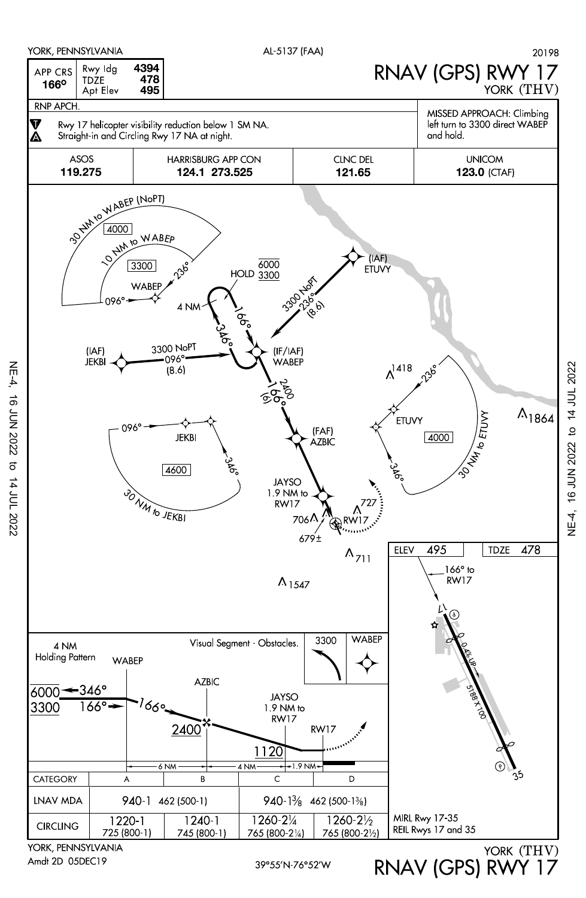

Amdt 2D 05DEC19

NE-4, 16 JUN 2022 to 14 JUL 2022

 $\sigma$ 

14 JUL 2022

**16 JUN 2022** 

NE-4,

RNAV (GPS) RWY 17